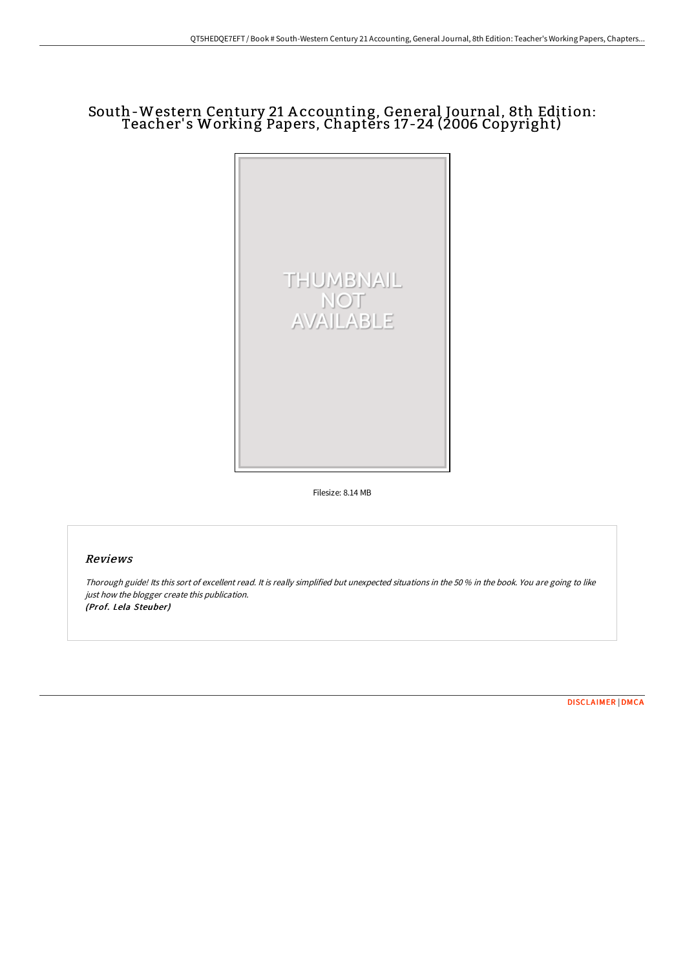# South-Western Century 21 A ccounting, General Journal, 8th Edition: Teacher's Working Papers, Chapters 17-24 (2006 Copyright)



Filesize: 8.14 MB

## Reviews

Thorough guide! Its this sort of excellent read. It is really simplified but unexpected situations in the <sup>50</sup> % in the book. You are going to like just how the blogger create this publication. (Prof. Lela Steuber)

[DISCLAIMER](http://techno-pub.tech/disclaimer.html) | [DMCA](http://techno-pub.tech/dmca.html)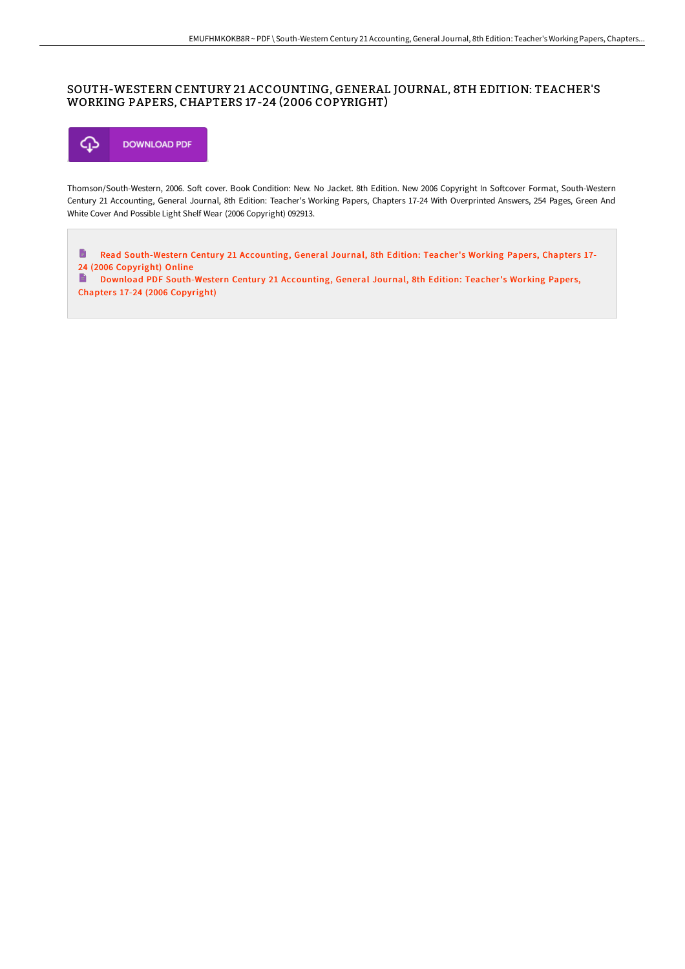# SOUTH-WESTERN CENTURY 21 ACCOUNTING, GENERAL JOURNAL, 8TH EDITION: TEACHER'S WORKING PAPERS, CHAPTERS 17 -24 (2006 COPYRIGHT)



Thomson/South-Western, 2006. Soft cover. Book Condition: New. No Jacket. 8th Edition. New 2006 Copyright In Softcover Format, South-Western Century 21 Accounting, General Journal, 8th Edition: Teacher's Working Papers, Chapters 17-24 With Overprinted Answers, 254 Pages, Green And White Cover And Possible Light Shelf Wear (2006 Copyright) 092913.